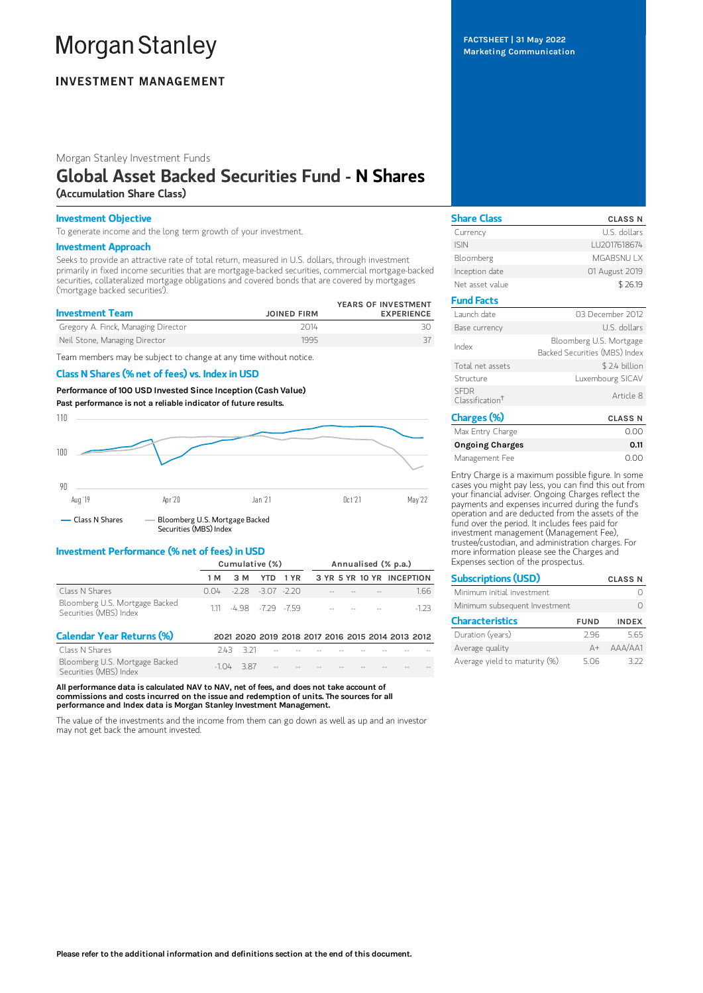# **Morgan Stanley**

# **INVESTMENT MANAGEMENT**

Morgan Stanley Investment Funds

# Global Asset Backed Securities Fund - N Shares (Accumulation Share Class)

## Investment Objective

To generate income and the long term growth of your investment.

### Investment Approach

Seeks to provide an attractive rate of total return, measured in U.S. dollars, through investment primarily in fixed income securities that are mortgage-backed securities, commercial mortgage-backed securities, collateralized mortgage obligations and covered bonds that are covered by mortgages ('mortgage backed securities').

| <b>Investment Team</b>              | <b>JOINED FIRM</b> | YEARS OF INVESTMENT<br><b>EXPERIENCE</b> |
|-------------------------------------|--------------------|------------------------------------------|
| Gregory A. Finck, Managing Director | 2014               |                                          |
| Neil Stone, Managing Director       | 1995               |                                          |

Team members may be subject to change at any time without notice.

## Class N Shares (% net of fees) vs. Index in USD

Performance of 100 USD Invested Since Inception (Cash Value) Past performance is not a reliable indicator of future results.



## Investment Performance (% net of fees) in USD

|                                                          | Cumulative (%) |                             |              | Annualised (% p.a.) |  |                            |                                   |                           |
|----------------------------------------------------------|----------------|-----------------------------|--------------|---------------------|--|----------------------------|-----------------------------------|---------------------------|
|                                                          | 1 M            |                             | 3 M YTD 1 YR |                     |  |                            |                                   | 3 YR 5 YR 10 YR INCEPTION |
| Class N Shares                                           |                | $0.04 - 2.28 - 3.07 - 2.20$ |              |                     |  | the company of the company |                                   | 1.66                      |
| Bloomberg U.S. Mortgage Backed<br>Securities (MBS) Index |                | 111 498 -729 -759           |              |                     |  |                            | the control of the control of the | -1 23                     |

| <b>Calendar Year Returns (%)</b>                         |                           |  |                                                 |  | 2021 2020 2019 2018 2017 2016 2015 2014 2013 2012 |
|----------------------------------------------------------|---------------------------|--|-------------------------------------------------|--|---------------------------------------------------|
| Class N Shares                                           | 243 321                   |  | the contract of the contract of the contract of |  |                                                   |
| Bloomberg U.S. Mortgage Backed<br>Securities (MBS) Index | $-104$ $-387$ $        -$ |  |                                                 |  |                                                   |

All performance data is calculated NAV to NAV, net of fees, and does not take account of commissions and costs incurred on the issue and redemption of units. The sources for all performance and Index data is Morgan Stanley Investment Management.

The value of the investments and the income from them can go down as well as up and an investor may not get back the amount invested.

FACTSHEET | 31 May 2022 Marketing Communication

| <b>Share Class</b>                         | <b>CLASS N</b>                                           |
|--------------------------------------------|----------------------------------------------------------|
| Currency                                   | U.S. dollars                                             |
| <b>ISIN</b>                                | LU2017618674                                             |
| Bloomberg                                  | <b>MGABSNUTX</b>                                         |
| Inception date                             | 01 August 2019                                           |
| Net asset value                            | \$26.19                                                  |
| <b>Fund Facts</b>                          |                                                          |
| Launch date                                | 03 December 2012                                         |
| Base currency                              | U.S. dollars                                             |
| Index                                      | Bloomberg U.S. Mortgage<br>Backed Securities (MBS) Index |
| Total net assets                           | \$2.4 billion                                            |
| Structure                                  | Luxembourg SICAV                                         |
| <b>SFDR</b><br>Classification <sup>†</sup> | Article 8                                                |
| Charges (%)                                | <b>CLASS N</b>                                           |
| Max Entry Charge                           | 0.00                                                     |

| Max Entry Charge       | 0.00 |
|------------------------|------|
| <b>Ongoing Charges</b> | 0.11 |
| Management Fee         | 0.00 |

Entry Charge is a maximum possible figure. In some cases you might pay less, you can find this out from your financial adviser. Ongoing Charges reflect the payments and expenses incurred during the fund's operation and are deducted from the assets of the fund over the period. It includes fees paid for investment management (Management Fee), trustee/custodian, and administration charges. For more information please see the Charges and Expenses section of the prospectus.

| <b>Subscriptions (USD)</b>    |             | <b>CLASS N</b> |
|-------------------------------|-------------|----------------|
| Minimum initial investment    |             |                |
| Minimum subsequent Investment |             |                |
| <b>Characteristics</b>        | <b>FUND</b> | <b>INDEX</b>   |
| Duration (years)              | 296         | 5.65           |
| Average quality               | $A +$       | AAA/AA1        |
| Average yield to maturity (%) | 5.06        | 377            |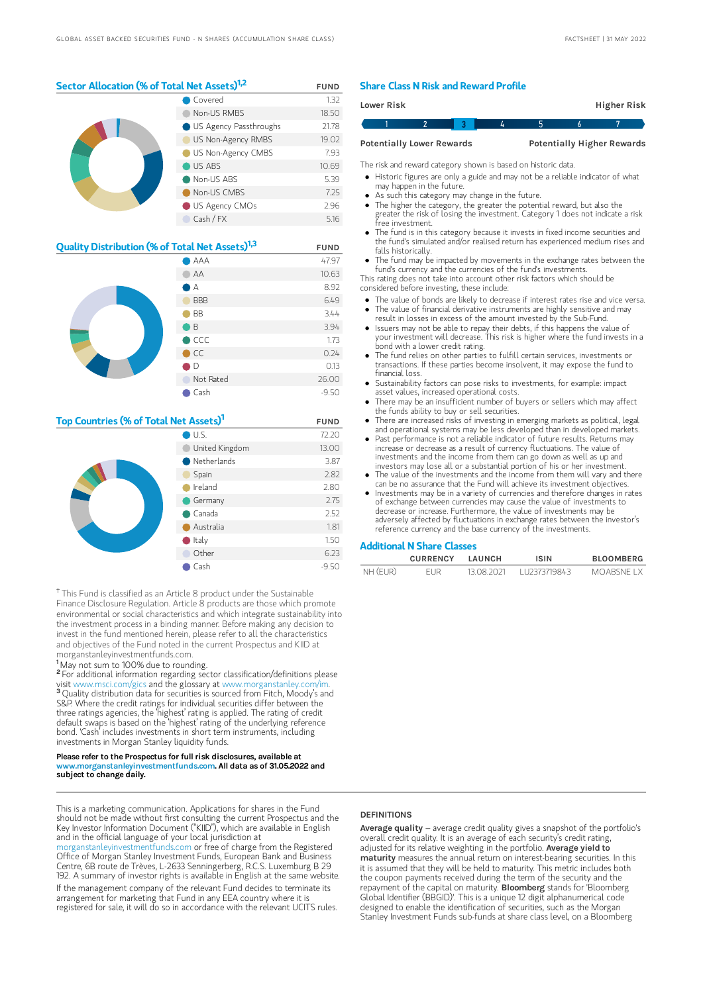# Sector Allocation (% of Total Net Assets)<sup>1,2</sup> FUND

|  | Covered                | 1.32  |
|--|------------------------|-------|
|  | Non-US RMBS            | 18.50 |
|  | US Agency Passthroughs | 21.78 |
|  | US Non-Agency RMBS     | 19.02 |
|  | US Non-Agency CMBS     | 7.93  |
|  | US ABS                 | 10.69 |
|  | Non-US ABS             | 5.39  |
|  | Non-US CMBS            | 7.25  |
|  | US Agency CMOs         | 2.96  |
|  | Cash / FX              | 5.16  |

| Quality Distribution (% of Total Net Assets) <sup>1,3</sup> |              | <b>FUND</b> |
|-------------------------------------------------------------|--------------|-------------|
|                                                             | 47.97        |             |
|                                                             | AA           | 10.63       |
|                                                             | A            | 8.92        |
|                                                             | <b>BBB</b>   | 6.49        |
|                                                             | <b>BB</b>    | 3.44        |
|                                                             | B            | 3.94        |
|                                                             | CCC          | 1.73        |
|                                                             | $\bullet$ CC | 0.24        |
|                                                             | D            | 0.13        |
|                                                             | Not Rated    | 26.00       |
|                                                             | Cash         | $-9.50$     |

#### Top Countries (% of Total Net Assets)<sup>1</sup> FUND

|  | $\bigcirc$ U.S.  | 72.20   |
|--|------------------|---------|
|  | United Kingdom   | 13.00   |
|  | Netherlands      | 3.87    |
|  | Spain            | 2.82    |
|  | Ireland          | 2.80    |
|  | Germany          | 2.75    |
|  | $\bullet$ Canada | 2.52    |
|  | Australia        | 1.81    |
|  | $\bullet$ Italy  | 1.50    |
|  | Other            | 6.23    |
|  | Cash             | $-9.50$ |

<sup>†</sup> This Fund is classified as an Article 8 product under the Sustainable Finance Disclosure Regulation. Article 8 products are those which promote environmental or social characteristics and which integrate sustainability into the investment process in a binding manner. Before making any decision to invest in the fund mentioned herein, please refer to all the characteristics and objectives of the Fund noted in the current Prospectus and KIID at morganstanleyinvestmentfunds.com.

<sup>1</sup>May not sum to 100% due to rounding.

<sup>2</sup> For additional information regarding sector classification/definitions please visit www.msci.com/gics and the glossary at www.morganstanley.com/im. <sup>3</sup> Quality distribution data for securities is sourced from Fitch, Moody's and S&P. Where the credit ratings for individual securities differ between the three ratings agencies, the 'highest' rating is applied. The rating of credit default swaps is based on the 'highest' rating of the underlying reference bond. 'Cash' includes investments in short term instruments, including investments in Morgan Stanley liquidity funds.

#### Please refer to the Prospectus for full risk disclosures, available at www.morganstanleyinvestmentfunds.com. All data as of 31.05.2022 and subject to change daily.

This is a marketing communication. Applications for shares in the Fund should not be made without first consulting the current Prospectus and the Key Investor Information Document ("KIID"), which are available in English and in the official language of your local jurisdiction at

hleyinvestmentfunds.com or free of charge from the Registered Office of Morgan Stanley Investment Funds, European Bank and Business Centre, 6B route de Trèves, L-2633 Senningerberg, R.C.S. Luxemburg B 29 192. A summary of investor rights is available in English at the same website. If the management company of the relevant Fund decides to terminate its arrangement for marketing that Fund in any EEA country where it is registered for sale, it will do so in accordance with the relevant UCITS rules.

#### Share Class N Risk and Reward Profile

| Lower Risk                       |  |   |   | Higher Risk                       |
|----------------------------------|--|---|---|-----------------------------------|
|                                  |  | д | h |                                   |
| <b>Potentially Lower Rewards</b> |  |   |   | <b>Potentially Higher Rewards</b> |

The risk and reward category shown is based on historic data.

- Historic figures are only a guide and may not be a reliable indicator of what may happen in the future.
- As such this category may change in the future.
- The higher the category, the greater the potential reward, but also the greater the risk of losing the investment. Category 1 does not indicate a risk free investment.
- The fund is in this category because it invests in fixed income securities and the fund's simulated and/or realised return has experienced medium rises and falls historically.
- The fund may be impacted by movements in the exchange rates between the fund's currency and the currencies of the fund's investments.

This rating does not take into account other risk factors which should be considered before investing, these include:

- The value of bonds are likely to decrease if interest rates rise and vice versa. The value of financial derivative instruments are highly sensitive and may
- result in losses in excess of the amount invested by the Sub-Fund. Issuers may not be able to repay their debts, if this happens the value of
- your investment will decrease. This risk is higher where the fund invests in a bond with a lower credit rating.
- The fund relies on other parties to fulfill certain services, investments or transactions. If these parties become insolvent, it may expose the fund to financial loss.
- Sustainability factors can pose risks to investments, for example: impact asset values, increased operational costs.
- There may be an insufficient number of buyers or sellers which may affect the funds ability to buy or sell securities.
- There are increased risks of investing in emerging markets as political, legal and operational systems may be less developed than in developed markets.
- Past performance is not a reliable indicator of future results. Returns may increase or decrease as a result of currency fluctuations. The value of investments and the income from them can go down as well as up and investors may lose all or a substantial portion of his or her investment.
- The value of the investments and the income from them will vary and there can be no assurance that the Fund will achieve its investment objectives.
- Investments may be in a variety of currencies and therefore changes in rates of exchange between currencies may cause the value of investments to decrease or increase. Furthermore, the value of investments may be adversely affected by fluctuations in exchange rates between the investor's reference currency and the base currency of the investments.

#### Additional N Share Classes

|          | <b>CURRENCY</b> | I AUNCH    | <b>ISIN</b>  | <b>BLOOMBERG</b> |
|----------|-----------------|------------|--------------|------------------|
| NH (EUR) | EUR             | 13 08 2021 | 112373719843 | MOARSNE I X      |

#### **DEFINITIONS**

Average quality – average credit quality gives a snapshot of the portfolio's overall credit quality. It is an average of each security's credit rating, adjusted for its relative weighting in the portfolio. Average vield to maturity measures the annual return on interest-bearing securities. In this it is assumed that they will be held to maturity. This metric includes both the coupon payments received during the term of the security and the<br>repayment of the capital on maturity. **BIoomberg** stands for 'Bloomberg Global Identifier (BBGID)'. This is a unique 12 digit alphanumerical code designed to enable the identification of securities, such as the Morgan Stanley Investment Funds sub-funds at share class level, on a Bloomberg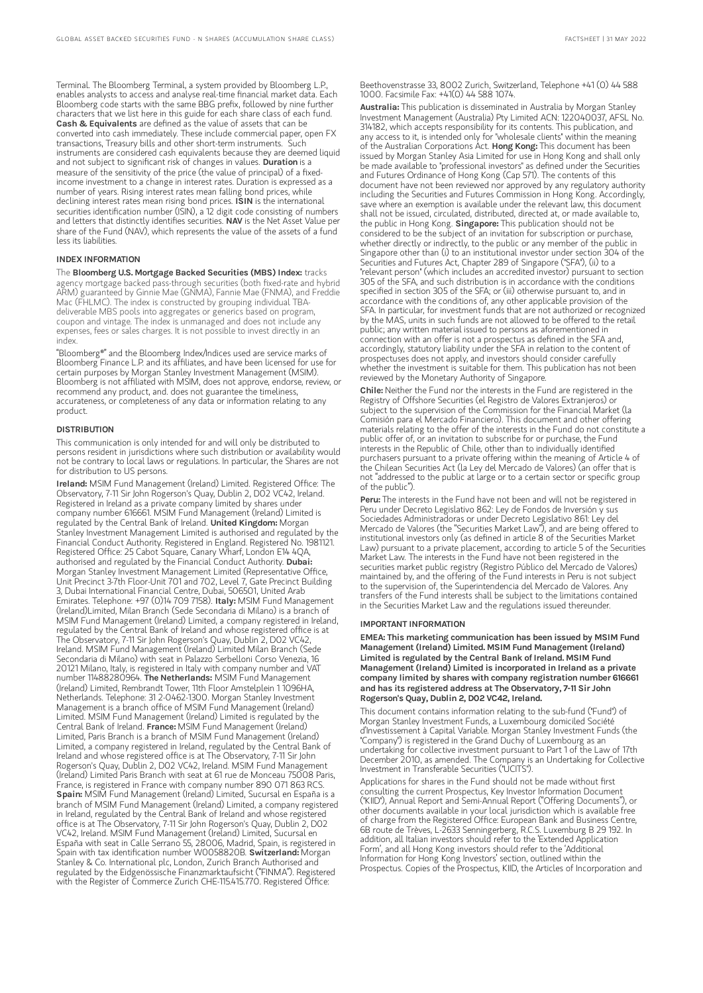Terminal. The Bloomberg Terminal, a system provided by Bloomberg L.P., enables analysts to access and analyse real-time financial market data. Each Bloomberg code starts with the same BBG prefix, followed by nine further characters that we list here in this guide for each share class of each fund. Cash & Equivalents are defined as the value of assets that can be converted into cash immediately. These include commercial paper, open FX transactions, Treasury bills and other short-term instruments. Such instruments are considered cash equivalents because they are deemed liquid and not subject to significant risk of changes in values. Duration is a measure of the sensitivity of the price (the value of principal) of a fixedincome investment to a change in interest rates. Duration is expressed as a number of years. Rising interest rates mean falling bond prices, while declining interest rates mean rising bond prices. ISIN is the international securities identification number (ISIN), a 12 digit code consisting of numbers and letters that distinctly identifies securities. NAV is the Net Asset Value per share of the Fund (NAV), which represents the value of the assets of a fund less its liabilities.

#### INDEX INFORMATION

The Bloomberg U.S. Mortgage Backed Securities (MBS) Index: tracks agency mortgage backed pass-through securities (both fixed-rate and hybrid ARM) guaranteed by Ginnie Mae (GNMA), Fannie Mae (FNMA), and Freddie Mac (FHLMC). The index is constructed by grouping individual TBAdeliverable MBS pools into aggregates or generics based on program, coupon and vintage. The index is unmanaged and does not include any expenses, fees or sales charges. It is not possible to invest directly in an index.

"Bloomberg®" and the Bloomberg Index/Indices used are service marks of Bloomberg Finance L.P. and its affiliates, and have been licensed for use for certain purposes by Morgan Stanley Investment Management (MSIM). Bloomberg is not affiliated with MSIM, does not approve, endorse, review, or recommend any product, and. does not guarantee the timeliness, accurateness, or completeness of any data or information relating to any product.

#### **DISTRIBUTION**

This communication is only intended for and will only be distributed to persons resident in jurisdictions where such distribution or availability would not be contrary to local laws or regulations. In particular, the Shares are not for distribution to US persons.

Ireland: MSIM Fund Management (Ireland) Limited. Registered Office: The Observatory, 7-11 Sir John Rogerson's Quay, Dublin 2, D02 VC42, Ireland. Registered in Ireland as a private company limited by shares under company number 616661. MSIM Fund Management (Ireland) Limited is regulated by the Central Bank of Ireland. United Kingdom: Morgan Stanley Investment Management Limited is authorised and regulated by the Financial Conduct Authority. Registered in England. Registered No. 1981121. Registered Office: 25 Cabot Square, Canary Wharf, London E14 4QA, authorised and regulated by the Financial Conduct Authority. Dubai: Morgan Stanley Investment Management Limited (Representative Office, Unit Precinct 3-7th Floor-Unit 701 and 702, Level 7, Gate Precinct Building 3, Dubai International Financial Centre, Dubai, 506501, United Arab Emirates. Telephone: +97 (0)14 709 7158). Italy: MSIM Fund Management (Ireland)Limited, Milan Branch (Sede Secondaria di Milano) is a branch of MSIM Fund Management (Ireland) Limited, a company registered in Ireland, regulated by the Central Bank of Ireland and whose registered office is at The Observatory, 7-11 Sir John Rogerson's Quay, Dublin 2, D02 VC42, Ireland. MSIM Fund Management (Ireland) Limited Milan Branch (Sede Secondaria di Milano) with seat in Palazzo Serbelloni Corso Venezia, 16 20121 Milano, Italy, is registered in Italy with company number and VAT<br>number 11488280964. **The Netherlands:** MSIM Fund Management (Ireland) Limited, Rembrandt Tower, 11th Floor Amstelplein 1 1096HA, Netherlands. Telephone: 31 2-0462-1300. Morgan Stanley Investment Management is a branch office of MSIM Fund Management (Ireland) Limited. MSIM Fund Management (Ireland) Limited is regulated by the<br>Central Bank of Ireland. **France:** MSIM Fund Management (Ireland) Limited, Paris Branch is a branch of MSIM Fund Management (Ireland) Limited, a company registered in Ireland, regulated by the Central Bank of Ireland and whose registered office is at The Observatory, 7-11 Sir John Rogerson's Quay, Dublin 2, D02 VC42, Ireland. MSIM Fund Management (Ireland) Limited Paris Branch with seat at 61 rue de Monceau 75008 Paris, France, is registered in France with company number 890 071 863 RCS. Spain: MSIM Fund Management (Ireland) Limited, Sucursal en España is a branch of MSIM Fund Management (Ireland) Limited, a company registered in Ireland, regulated by the Central Bank of Ireland and whose registered office is at The Observatory, 7-11 Sir John Rogerson's Quay, Dublin 2, D02 VC42, Ireland. MSIM Fund Management (Ireland) Limited, Sucursal en España with seat in Calle Serrano 55, 28006, Madrid, Spain, is registered in Spain with tax identification number W0058820B. Switzerland: Morgan Stanley & Co. International plc, London, Zurich Branch Authorised and regulated by the Eidgenössische Finanzmarktaufsicht ("FINMA"). Registered with the Register of Commerce Zurich CHE-115.415.770. Registered Office:

Beethovenstrasse 33, 8002 Zurich, Switzerland, Telephone +41 (0) 44 588 1000. Facsimile Fax: +41(0) 44 588 1074.

Australia: This publication is disseminated in Australia by Morgan Stanley Investment Management (Australia) Pty Limited ACN: 122040037, AFSL No. 314182, which accepts responsibility for its contents. This publication, and any access to it, is intended only for "wholesale clients" within the meaning of the Australian Corporations Act. Hong Kong: This document has been issued by Morgan Stanley Asia Limited for use in Hong Kong and shall only be made available to "professional investors" as defined under the Securities and Futures Ordinance of Hong Kong (Cap 571). The contents of this document have not been reviewed nor approved by any regulatory authority including the Securities and Futures Commission in Hong Kong. Accordingly, save where an exemption is available under the relevant law, this document shall not be issued, circulated, distributed, directed at, or made available to, the public in Hong Kong. Singapore: This publication should not be considered to be the subject of an invitation for subscription or purchase, whether directly or indirectly, to the public or any member of the public in Singapore other than (i) to an institutional investor under section 304 of the Securities and Futures Act, Chapter 289 of Singapore ("SFA"), (ii) to a "relevant person" (which includes an accredited investor) pursuant to section 305 of the SFA, and such distribution is in accordance with the conditions specified in section 305 of the SFA; or (iii) otherwise pursuant to, and in accordance with the conditions of, any other applicable provision of the SFA. In particular, for investment funds that are not authorized or recognized by the MAS, units in such funds are not allowed to be offered to the retail public; any written material issued to persons as aforementioned in connection with an offer is not a prospectus as defined in the SFA and, accordingly, statutory liability under the SFA in relation to the content of prospectuses does not apply, and investors should consider carefully whether the investment is suitable for them. This publication has not been reviewed by the Monetary Authority of Singapore.

Chile: Neither the Fund nor the interests in the Fund are registered in the Registry of Offshore Securities (el Registro de Valores Extranjeros) or subject to the supervision of the Commission for the Financial Market (la Comisión para el Mercado Financiero). This document and other offering materials relating to the offer of the interests in the Fund do not constitute a public offer of, or an invitation to subscribe for or purchase, the Fund interests in the Republic of Chile, other than to individually identified purchasers pursuant to a private offering within the meaning of Article 4 of the Chilean Securities Act (la Ley del Mercado de Valores) (an offer that is not "addressed to the public at large or to a certain sector or specific group of the public").

Peru: The interests in the Fund have not been and will not be registered in Peru under Decreto Legislativo 862: Ley de Fondos de Inversión y sus Sociedades Administradoras or under Decreto Legislativo 861: Ley del Mercado de Valores (the "Securities Market Law"), and are being offered to institutional investors only (as defined in article 8 of the Securities Market Law) pursuant to a private placement, according to article 5 of the Securities Market Law. The interests in the Fund have not been registered in the securities market public registry (Registro Público del Mercado de Valores) maintained by, and the offering of the Fund interests in Peru is not subject to the supervision of, the Superintendencia del Mercado de Valores. Any transfers of the Fund interests shall be subject to the limitations contained in the Securities Market Law and the regulations issued thereunder.

#### IMPORTANT INFORMATION

EMEA: This marketing communication has been issued by MSIM Fund Management (Ireland) Limited. MSIM Fund Management (Ireland) Limited is regulated by the Central Bank of Ireland. MSIM Fund Management (Ireland) Limited is incorporated in Ireland as a private company limited by shares with company registration number 616661 and has its registered address at The Observatory, 7-11 Sir John Rogerson's Quay, Dublin 2, D02 VC42, Ireland.

This document contains information relating to the sub-fund ("Fund") of Morgan Stanley Investment Funds, a Luxembourg domiciled Société d'Investissement à Capital Variable. Morgan Stanley Investment Funds (the "Company") is registered in the Grand Duchy of Luxembourg as an undertaking for collective investment pursuant to Part 1 of the Law of 17th December 2010, as amended. The Company is an Undertaking for Collective Investment in Transferable Securities ("UCITS").

Applications for shares in the Fund should not be made without first consulting the current Prospectus, Key Investor Information Document ("KIID"), Annual Report and Semi-Annual Report ("Offering Documents"), or other documents available in your local jurisdiction which is available free of charge from the Registered Office: European Bank and Business Centre, 6B route de Trèves, L-2633 Senningerberg, R.C.S. Luxemburg B 29 192. In addition, all Italian investors should refer to the 'Extended Application Form', and all Hong Kong investors should refer to the 'Additional Information for Hong Kong Investors' section, outlined within the Prospectus. Copies of the Prospectus, KIID, the Articles of Incorporation and